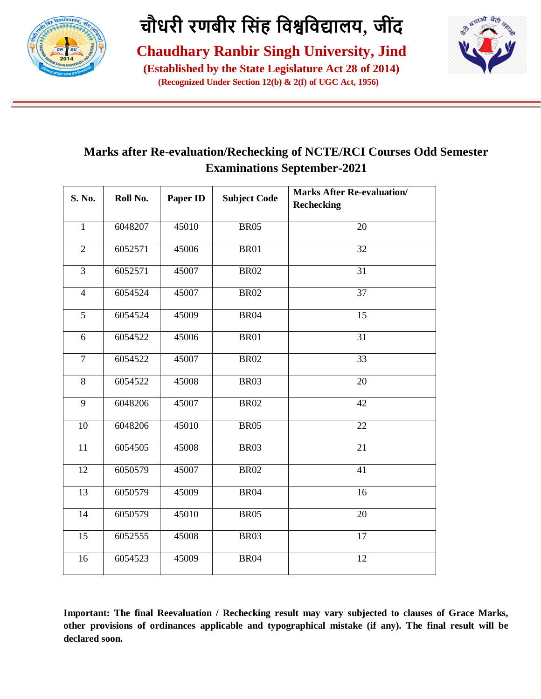

**Chaudhary Ranbir Singh University, Jind**

**(Established by the State Legislature Act 28 of 2014) (Recognized Under Section 12(b) & 2(f) of UGC Act, 1956)**



#### **Marks after Re-evaluation/Rechecking of NCTE/RCI Courses Odd Semester Examinations September-2021**

| S. No.          | Roll No. | Paper ID | <b>Subject Code</b> | <b>Marks After Re-evaluation/</b><br><b>Rechecking</b> |
|-----------------|----------|----------|---------------------|--------------------------------------------------------|
| $\overline{1}$  | 6048207  | 45010    | <b>BR05</b>         | 20                                                     |
| $\overline{2}$  | 6052571  | 45006    | <b>BR01</b>         | 32                                                     |
| $\overline{3}$  | 6052571  | 45007    | <b>BR02</b>         | $\overline{31}$                                        |
| $\overline{4}$  | 6054524  | 45007    | <b>BR02</b>         | $\overline{37}$                                        |
| $\overline{5}$  | 6054524  | 45009    | <b>BR04</b>         | $\overline{15}$                                        |
| 6               | 6054522  | 45006    | <b>BR01</b>         | 31                                                     |
| $\overline{7}$  | 6054522  | 45007    | <b>BR02</b>         | 33                                                     |
| 8               | 6054522  | 45008    | <b>BR03</b>         | 20                                                     |
| 9               | 6048206  | 45007    | <b>BR02</b>         | 42                                                     |
| 10              | 6048206  | 45010    | <b>BR05</b>         | 22                                                     |
| 11              | 6054505  | 45008    | <b>BR03</b>         | 21                                                     |
| $\overline{12}$ | 6050579  | 45007    | <b>BR02</b>         | $\overline{41}$                                        |
| 13              | 6050579  | 45009    | <b>BR04</b>         | 16                                                     |
| 14              | 6050579  | 45010    | <b>BR05</b>         | 20                                                     |
| 15              | 6052555  | 45008    | <b>BR03</b>         | 17                                                     |
| 16              | 6054523  | 45009    | <b>BR04</b>         | 12                                                     |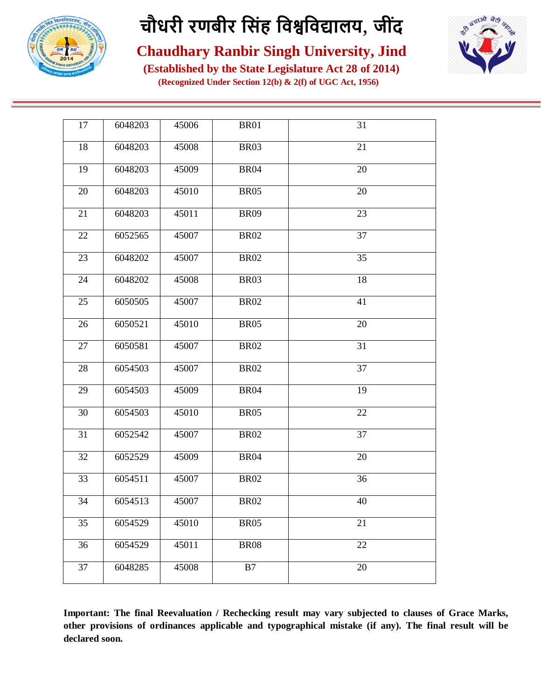



**Chaudhary Ranbir Singh University, Jind**

**(Established by the State Legislature Act 28 of 2014) (Recognized Under Section 12(b) & 2(f) of UGC Act, 1956)**

| 17 | 6048203 | 45006 | <b>BR01</b> | 31              |
|----|---------|-------|-------------|-----------------|
| 18 | 6048203 | 45008 | <b>BR03</b> | 21              |
| 19 | 6048203 | 45009 | <b>BR04</b> | 20              |
| 20 | 6048203 | 45010 | <b>BR05</b> | 20              |
| 21 | 6048203 | 45011 | <b>BR09</b> | 23              |
| 22 | 6052565 | 45007 | <b>BR02</b> | $\overline{37}$ |
| 23 | 6048202 | 45007 | <b>BR02</b> | 35              |
| 24 | 6048202 | 45008 | <b>BR03</b> | 18              |
| 25 | 6050505 | 45007 | <b>BR02</b> | 41              |
| 26 | 6050521 | 45010 | <b>BR05</b> | 20              |
| 27 | 6050581 | 45007 | <b>BR02</b> | 31              |
| 28 | 6054503 | 45007 | <b>BR02</b> | 37              |
| 29 | 6054503 | 45009 | <b>BR04</b> | 19              |
| 30 | 6054503 | 45010 | <b>BR05</b> | 22              |
| 31 | 6052542 | 45007 | <b>BR02</b> | 37              |
| 32 | 6052529 | 45009 | <b>BR04</b> | 20              |
| 33 | 6054511 | 45007 | <b>BR02</b> | 36              |
| 34 | 6054513 | 45007 | <b>BR02</b> | 40              |
| 35 | 6054529 | 45010 | <b>BR05</b> | 21              |
| 36 | 6054529 | 45011 | <b>BR08</b> | 22              |
| 37 | 6048285 | 45008 | B7          | 20              |
|    |         |       |             |                 |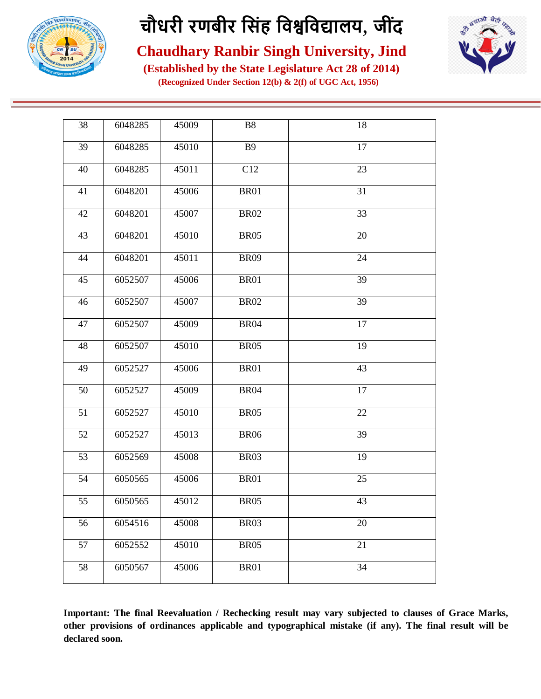



**Chaudhary Ranbir Singh University, Jind**

**(Established by the State Legislature Act 28 of 2014) (Recognized Under Section 12(b) & 2(f) of UGC Act, 1956)**

| 38 | 6048285 | 45009 | <b>B8</b>   | 18 |
|----|---------|-------|-------------|----|
| 39 | 6048285 | 45010 | <b>B9</b>   | 17 |
| 40 | 6048285 | 45011 | C12         | 23 |
| 41 | 6048201 | 45006 | <b>BR01</b> | 31 |
| 42 | 6048201 | 45007 | $\rm BR02$  | 33 |
| 43 | 6048201 | 45010 | <b>BR05</b> | 20 |
| 44 | 6048201 | 45011 | <b>BR09</b> | 24 |
| 45 | 6052507 | 45006 | <b>BR01</b> | 39 |
| 46 | 6052507 | 45007 | <b>BR02</b> | 39 |
| 47 | 6052507 | 45009 | <b>BR04</b> | 17 |
| 48 | 6052507 | 45010 | <b>BR05</b> | 19 |
| 49 | 6052527 | 45006 | <b>BR01</b> | 43 |
| 50 | 6052527 | 45009 | <b>BR04</b> | 17 |
| 51 | 6052527 | 45010 | <b>BR05</b> | 22 |
| 52 | 6052527 | 45013 | <b>BR06</b> | 39 |
| 53 | 6052569 | 45008 | <b>BR03</b> | 19 |
| 54 | 6050565 | 45006 | <b>BR01</b> | 25 |
| 55 | 6050565 | 45012 | <b>BR05</b> | 43 |
| 56 | 6054516 | 45008 | <b>BR03</b> | 20 |
| 57 | 6052552 | 45010 | <b>BR05</b> | 21 |
| 58 | 6050567 | 45006 | <b>BR01</b> | 34 |
|    |         |       |             |    |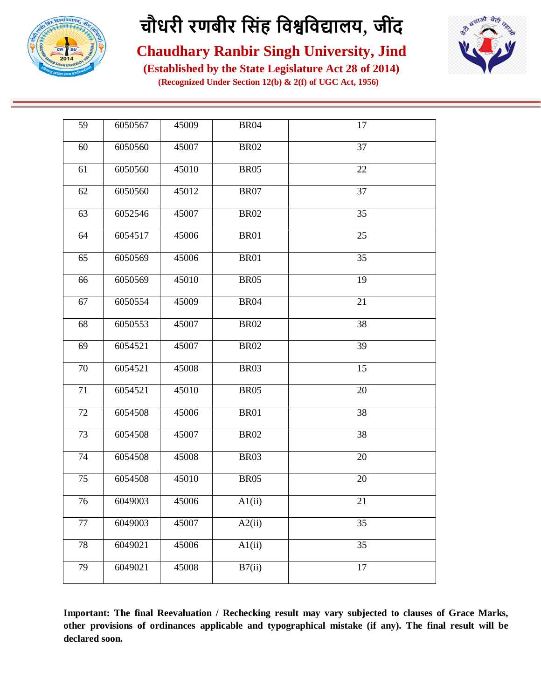



**Chaudhary Ranbir Singh University, Jind**

**(Established by the State Legislature Act 28 of 2014) (Recognized Under Section 12(b) & 2(f) of UGC Act, 1956)**

| 59 | 6050567 | 45009 | <b>BR04</b> | 17              |
|----|---------|-------|-------------|-----------------|
| 60 | 6050560 | 45007 | <b>BR02</b> | $\overline{37}$ |
| 61 | 6050560 | 45010 | <b>BR05</b> | 22              |
| 62 | 6050560 | 45012 | <b>BR07</b> | 37              |
| 63 | 6052546 | 45007 | <b>BR02</b> | 35              |
| 64 | 6054517 | 45006 | <b>BR01</b> | 25              |
| 65 | 6050569 | 45006 | <b>BR01</b> | 35              |
| 66 | 6050569 | 45010 | <b>BR05</b> | 19              |
| 67 | 6050554 | 45009 | <b>BR04</b> | 21              |
| 68 | 6050553 | 45007 | <b>BR02</b> | 38              |
| 69 | 6054521 | 45007 | <b>BR02</b> | 39              |
| 70 | 6054521 | 45008 | <b>BR03</b> | 15              |
| 71 | 6054521 | 45010 | <b>BR05</b> | 20              |
| 72 | 6054508 | 45006 | <b>BR01</b> | 38              |
| 73 | 6054508 | 45007 | <b>BR02</b> | 38              |
| 74 | 6054508 | 45008 | BR03        | 20              |
| 75 | 6054508 | 45010 | <b>BR05</b> | 20              |
| 76 | 6049003 | 45006 | A1(ii)      | 21              |
| 77 | 6049003 | 45007 | A2(ii)      | 35              |
| 78 | 6049021 | 45006 | A1(ii)      | 35              |
| 79 | 6049021 | 45008 | B7(ii)      | 17              |
|    |         |       |             |                 |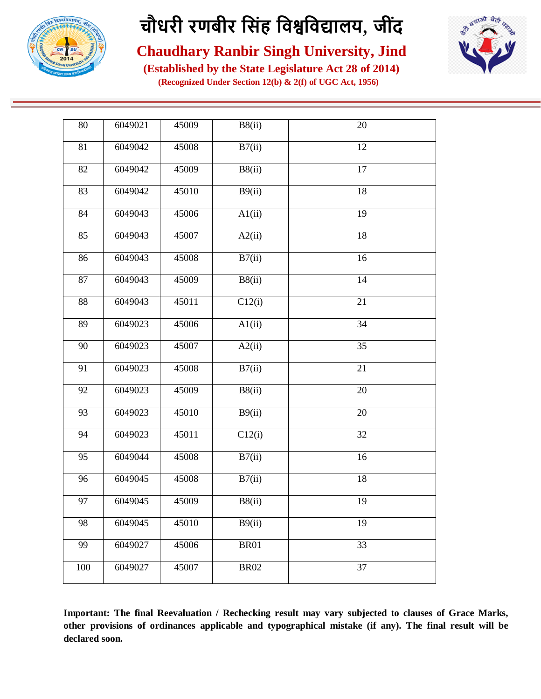



**Chaudhary Ranbir Singh University, Jind**

**(Established by the State Legislature Act 28 of 2014) (Recognized Under Section 12(b) & 2(f) of UGC Act, 1956)**

| 80  | 6049021 | 45009 | B8(ii)              | 20              |
|-----|---------|-------|---------------------|-----------------|
| 81  | 6049042 | 45008 | B7(ii)              | 12              |
| 82  | 6049042 | 45009 | B8(ii)              | 17              |
| 83  | 6049042 | 45010 | B9(ii)              | 18              |
| 84  | 6049043 | 45006 | $\overline{Al(ii)}$ | 19              |
| 85  | 6049043 | 45007 | A2(ii)              | 18              |
| 86  | 6049043 | 45008 | B7(ii)              | 16              |
| 87  | 6049043 | 45009 | B8(ii)              | 14              |
| 88  | 6049043 | 45011 | C12(i)              | 21              |
| 89  | 6049023 | 45006 | A1(ii)              | 34              |
| 90  | 6049023 | 45007 | A2(ii)              | $\overline{35}$ |
| 91  | 6049023 | 45008 | B7(ii)              | 21              |
| 92  | 6049023 | 45009 | B8(ii)              | $\overline{20}$ |
| 93  | 6049023 | 45010 | B9(ii)              | 20              |
| 94  | 6049023 | 45011 | C12(i)              | 32              |
| 95  | 6049044 | 45008 | B7(ii)              | 16              |
| 96  | 6049045 | 45008 | B7(ii)              | 18              |
| 97  | 6049045 | 45009 | B8(ii)              | 19              |
| 98  | 6049045 | 45010 | B9(ii)              | 19              |
| 99  | 6049027 | 45006 | <b>BR01</b>         | 33              |
| 100 | 6049027 | 45007 | <b>BR02</b>         | 37              |
|     |         |       |                     |                 |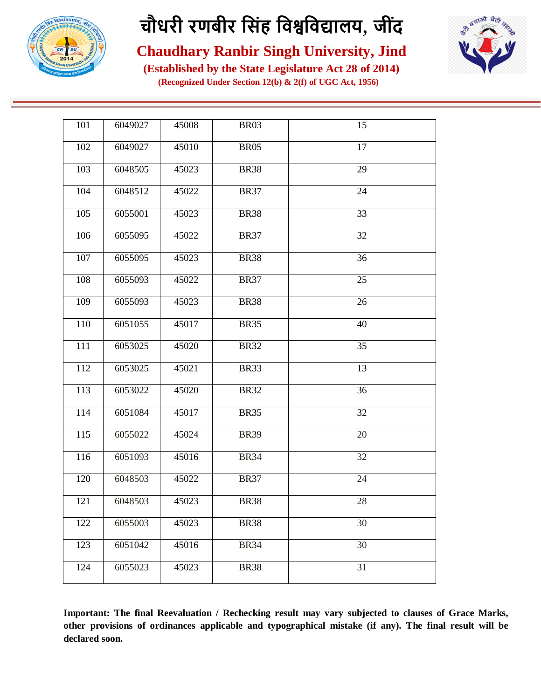



**Chaudhary Ranbir Singh University, Jind**

**(Established by the State Legislature Act 28 of 2014) (Recognized Under Section 12(b) & 2(f) of UGC Act, 1956)**

| 101 | 6049027 | 45008 | <b>BR03</b> | 15 |
|-----|---------|-------|-------------|----|
| 102 | 6049027 | 45010 | <b>BR05</b> | 17 |
| 103 | 6048505 | 45023 | <b>BR38</b> | 29 |
| 104 | 6048512 | 45022 | <b>BR37</b> | 24 |
| 105 | 6055001 | 45023 | <b>BR38</b> | 33 |
| 106 | 6055095 | 45022 | <b>BR37</b> | 32 |
| 107 | 6055095 | 45023 | <b>BR38</b> | 36 |
| 108 | 6055093 | 45022 | <b>BR37</b> | 25 |
| 109 | 6055093 | 45023 | <b>BR38</b> | 26 |
| 110 | 6051055 | 45017 | <b>BR35</b> | 40 |
| 111 | 6053025 | 45020 | <b>BR32</b> | 35 |
| 112 | 6053025 | 45021 | <b>BR33</b> | 13 |
| 113 | 6053022 | 45020 | <b>BR32</b> | 36 |
| 114 | 6051084 | 45017 | <b>BR35</b> | 32 |
| 115 | 6055022 | 45024 | <b>BR39</b> | 20 |
| 116 | 6051093 | 45016 | <b>BR34</b> | 32 |
| 120 | 6048503 | 45022 | <b>BR37</b> | 24 |
| 121 | 6048503 | 45023 | <b>BR38</b> | 28 |
| 122 | 6055003 | 45023 | <b>BR38</b> | 30 |
| 123 | 6051042 | 45016 | <b>BR34</b> | 30 |
| 124 | 6055023 | 45023 | <b>BR38</b> | 31 |
|     |         |       |             |    |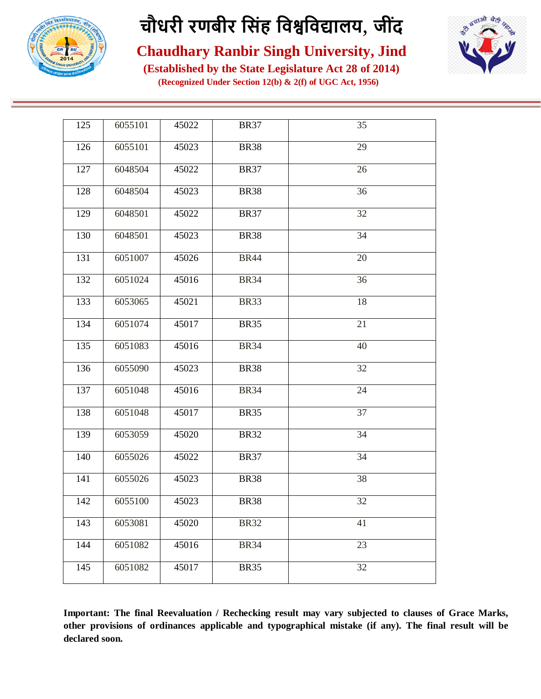



**Chaudhary Ranbir Singh University, Jind**

**(Established by the State Legislature Act 28 of 2014) (Recognized Under Section 12(b) & 2(f) of UGC Act, 1956)**

| 125 | 6055101 | 45022 | <b>BR37</b> | 35              |
|-----|---------|-------|-------------|-----------------|
| 126 | 6055101 | 45023 | <b>BR38</b> | 29              |
| 127 | 6048504 | 45022 | <b>BR37</b> | 26              |
| 128 | 6048504 | 45023 | <b>BR38</b> | 36              |
| 129 | 6048501 | 45022 | <b>BR37</b> | 32              |
| 130 | 6048501 | 45023 | <b>BR38</b> | 34              |
| 131 | 6051007 | 45026 | <b>BR44</b> | 20              |
| 132 | 6051024 | 45016 | <b>BR34</b> | 36              |
| 133 | 6053065 | 45021 | <b>BR33</b> | 18              |
| 134 | 6051074 | 45017 | <b>BR35</b> | 21              |
| 135 | 6051083 | 45016 | <b>BR34</b> | 40              |
| 136 | 6055090 | 45023 | <b>BR38</b> | 32              |
| 137 | 6051048 | 45016 | <b>BR34</b> | $\overline{24}$ |
| 138 | 6051048 | 45017 | <b>BR35</b> | 37              |
| 139 | 6053059 | 45020 | <b>BR32</b> | 34              |
| 140 | 6055026 | 45022 | <b>BR37</b> | 34              |
| 141 | 6055026 | 45023 | <b>BR38</b> | 38              |
| 142 | 6055100 | 45023 | <b>BR38</b> | 32              |
| 143 | 6053081 | 45020 | <b>BR32</b> | 41              |
| 144 | 6051082 | 45016 | <b>BR34</b> | 23              |
| 145 | 6051082 | 45017 | <b>BR35</b> | 32              |
|     |         |       |             |                 |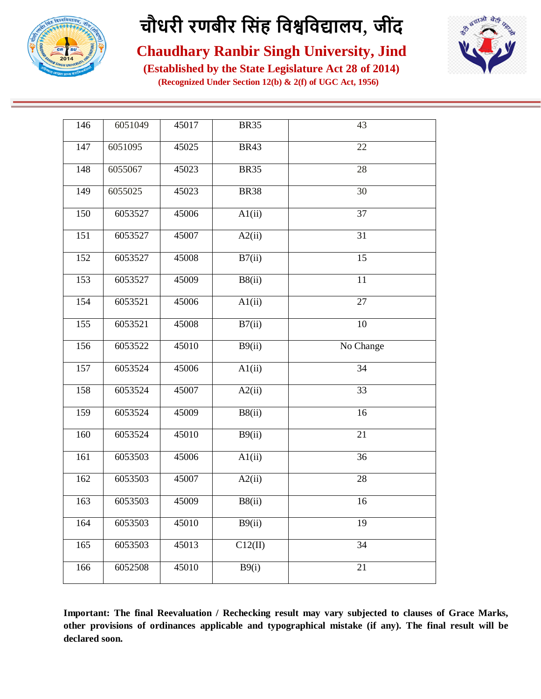



**Chaudhary Ranbir Singh University, Jind**

**(Established by the State Legislature Act 28 of 2014) (Recognized Under Section 12(b) & 2(f) of UGC Act, 1956)**

| 146 | 6051049 | 45017 | <b>BR35</b>         | 43              |
|-----|---------|-------|---------------------|-----------------|
| 147 | 6051095 | 45025 | <b>BR43</b>         | 22              |
| 148 | 6055067 | 45023 | <b>BR35</b>         | 28              |
| 149 | 6055025 | 45023 | <b>BR38</b>         | 30              |
| 150 | 6053527 | 45006 | A1(ii)              | 37              |
| 151 | 6053527 | 45007 | $\overline{A2(ii)}$ | $\overline{31}$ |
| 152 | 6053527 | 45008 | B7(ii)              | $\overline{15}$ |
| 153 | 6053527 | 45009 | B8(ii)              | $\overline{11}$ |
| 154 | 6053521 | 45006 | A1(ii)              | 27              |
| 155 | 6053521 | 45008 | B7(ii)              | 10              |
| 156 | 6053522 | 45010 | B9(ii)              | No Change       |
| 157 | 6053524 | 45006 | A1(ii)              | 34              |
| 158 | 6053524 | 45007 | $\overline{A2(ii)}$ | $\overline{33}$ |
| 159 | 6053524 | 45009 | B8(ii)              | 16              |
| 160 | 6053524 | 45010 | $\overline{B9(ii)}$ | 21              |
| 161 | 6053503 | 45006 | AI(ii)              | 36              |
| 162 | 6053503 | 45007 | A2(ii)              | 28              |
| 163 | 6053503 | 45009 | B8(ii)              | 16              |
| 164 | 6053503 | 45010 | B9(ii)              | 19              |
| 165 | 6053503 | 45013 | C12(II)             | $\overline{34}$ |
| 166 | 6052508 | 45010 | B9(i)               | 21              |
|     |         |       |                     |                 |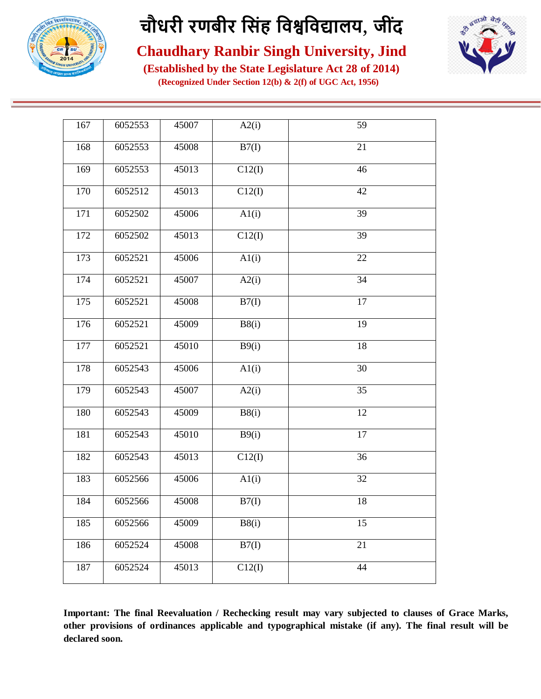



#### **Chaudhary Ranbir Singh University, Jind**

**(Established by the State Legislature Act 28 of 2014) (Recognized Under Section 12(b) & 2(f) of UGC Act, 1956)**

| 167 | 6052553 | 45007 | A2(i)  | 59              |
|-----|---------|-------|--------|-----------------|
| 168 | 6052553 | 45008 | B7(I)  | 21              |
| 169 | 6052553 | 45013 | C12(I) | 46              |
| 170 | 6052512 | 45013 | C12(I) | 42              |
| 171 | 6052502 | 45006 | AI(i)  | $\overline{39}$ |
| 172 | 6052502 | 45013 | C12(I) | 39              |
| 173 | 6052521 | 45006 | A1(i)  | 22              |
| 174 | 6052521 | 45007 | A2(i)  | 34              |
| 175 | 6052521 | 45008 | B7(I)  | 17              |
| 176 | 6052521 | 45009 | B8(i)  | 19              |
| 177 | 6052521 | 45010 | B9(i)  | 18              |
| 178 | 6052543 | 45006 | A1(i)  | 30              |
| 179 | 6052543 | 45007 | A2(i)  | $\overline{35}$ |
| 180 | 6052543 | 45009 | B8(i)  | 12              |
| 181 | 6052543 | 45010 | B9(i)  | 17              |
| 182 | 6052543 | 45013 | C12(I) | 36              |
| 183 | 6052566 | 45006 | A1(i)  | 32              |
| 184 | 6052566 | 45008 | B7(I)  | 18              |
| 185 | 6052566 | 45009 | B8(i)  | 15              |
| 186 | 6052524 | 45008 | B7(I)  | 21              |
| 187 | 6052524 | 45013 | C12(I) | 44              |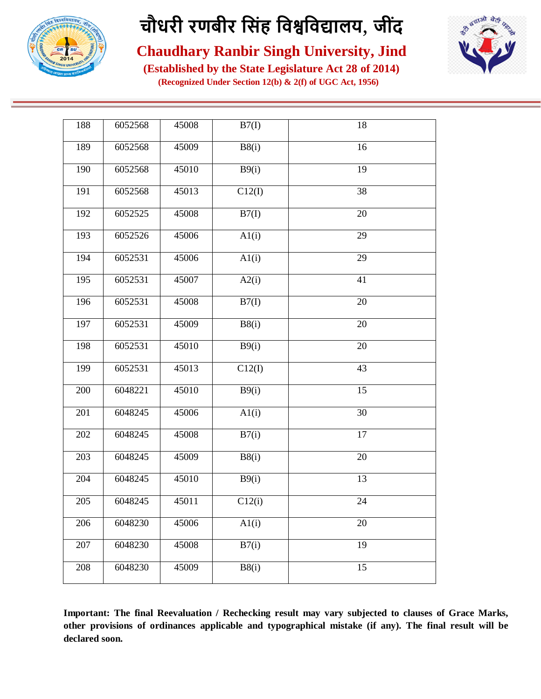



**Chaudhary Ranbir Singh University, Jind**

**(Established by the State Legislature Act 28 of 2014) (Recognized Under Section 12(b) & 2(f) of UGC Act, 1956)**

| 188 | 6052568 | 45008 | B7(I)              | 18              |
|-----|---------|-------|--------------------|-----------------|
| 189 | 6052568 | 45009 | B8(i)              | 16              |
| 190 | 6052568 | 45010 | B9(i)              | 19              |
| 191 | 6052568 | 45013 | C12(I)             | 38              |
| 192 | 6052525 | 45008 | B7(I)              | 20              |
| 193 | 6052526 | 45006 | A1(i)              | 29              |
| 194 | 6052531 | 45006 | AI(i)              | 29              |
| 195 | 6052531 | 45007 | A2(i)              | 41              |
| 196 | 6052531 | 45008 | B7(I)              | 20              |
| 197 | 6052531 | 45009 | B8(i)              | 20              |
| 198 | 6052531 | 45010 | B9(i)              | 20              |
| 199 | 6052531 | 45013 | C12(I)             | 43              |
| 200 | 6048221 | 45010 | B9(i)              | $\overline{15}$ |
| 201 | 6048245 | 45006 | AI(i)              | 30              |
| 202 | 6048245 | 45008 | $\overline{B7(i)}$ | 17              |
| 203 | 6048245 | 45009 | B8(i)              | 20              |
| 204 | 6048245 | 45010 | B9(i)              | 13              |
| 205 | 6048245 | 45011 | C12(i)             | 24              |
| 206 | 6048230 | 45006 | A1(i)              | 20              |
| 207 | 6048230 | 45008 | B7(i)              | 19              |
| 208 | 6048230 | 45009 | B8(i)              | 15              |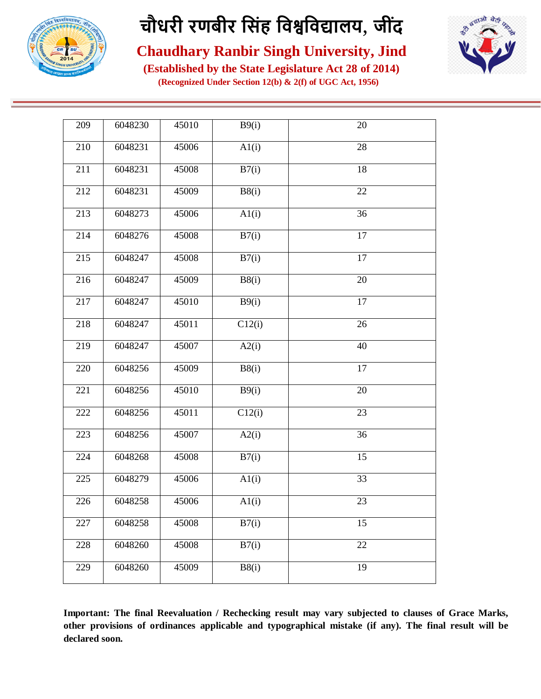



**Chaudhary Ranbir Singh University, Jind**

**(Established by the State Legislature Act 28 of 2014) (Recognized Under Section 12(b) & 2(f) of UGC Act, 1956)**

| 209 | 6048230 | 45010 | B9(i)              | $20\,$          |
|-----|---------|-------|--------------------|-----------------|
| 210 | 6048231 | 45006 | A1(i)              | 28              |
| 211 | 6048231 | 45008 | B7(i)              | 18              |
| 212 | 6048231 | 45009 | B8(i)              | 22              |
| 213 | 6048273 | 45006 | AI(i)              | 36              |
| 214 | 6048276 | 45008 | $\overline{B7(i)}$ | $\overline{17}$ |
| 215 | 6048247 | 45008 | B7(i)              | $\overline{17}$ |
| 216 | 6048247 | 45009 | B8(i)              | 20              |
| 217 | 6048247 | 45010 | B9(i)              | 17              |
| 218 | 6048247 | 45011 | C12(i)             | 26              |
| 219 | 6048247 | 45007 | A2(i)              | 40              |
| 220 | 6048256 | 45009 | B8(i)              | 17              |
| 221 | 6048256 | 45010 | B9(i)              | 20              |
| 222 | 6048256 | 45011 | C12(i)             | 23              |
| 223 | 6048256 | 45007 | A2(i)              | 36              |
| 224 | 6048268 | 45008 | B7(i)              | 15              |
| 225 | 6048279 | 45006 | A1(i)              | 33              |
| 226 | 6048258 | 45006 | A1(i)              | 23              |
| 227 | 6048258 | 45008 | B7(i)              | 15              |
| 228 | 6048260 | 45008 | B7(i)              | 22              |
| 229 | 6048260 | 45009 | B8(i)              | 19              |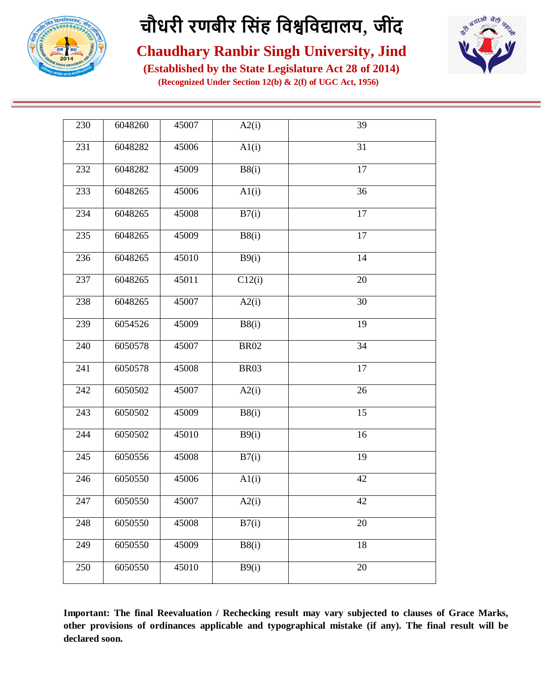



**Chaudhary Ranbir Singh University, Jind**

**(Established by the State Legislature Act 28 of 2014) (Recognized Under Section 12(b) & 2(f) of UGC Act, 1956)**

| 230 | 6048260 | 45007 | A2(i)       | 39              |
|-----|---------|-------|-------------|-----------------|
| 231 | 6048282 | 45006 | AI(i)       | 31              |
| 232 | 6048282 | 45009 | B8(i)       | 17              |
| 233 | 6048265 | 45006 | A1(i)       | 36              |
| 234 | 6048265 | 45008 | B7(i)       | $\overline{17}$ |
| 235 | 6048265 | 45009 | B8(i)       | $\overline{17}$ |
| 236 | 6048265 | 45010 | B9(i)       | 14              |
| 237 | 6048265 | 45011 | C12(i)      | 20              |
| 238 | 6048265 | 45007 | A2(i)       | 30              |
| 239 | 6054526 | 45009 | B8(i)       | 19              |
| 240 | 6050578 | 45007 | <b>BR02</b> | 34              |
| 241 | 6050578 | 45008 | <b>BR03</b> | 17              |
| 242 | 6050502 | 45007 | A2(i)       | 26              |
| 243 | 6050502 | 45009 | B8(i)       | 15              |
| 244 | 6050502 | 45010 | B9(i)       | 16              |
| 245 | 6050556 | 45008 | B7(i)       | 19              |
| 246 | 6050550 | 45006 | A1(i)       | 42              |
| 247 | 6050550 | 45007 | A2(i)       | 42              |
| 248 | 6050550 | 45008 | B7(i)       | 20              |
| 249 | 6050550 | 45009 | B8(i)       | 18              |
| 250 | 6050550 | 45010 | B9(i)       | 20              |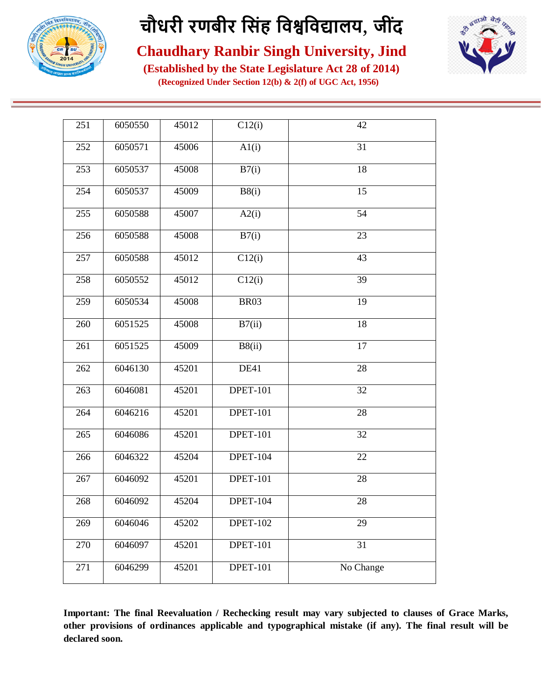



**Chaudhary Ranbir Singh University, Jind**

**(Established by the State Legislature Act 28 of 2014) (Recognized Under Section 12(b) & 2(f) of UGC Act, 1956)**

| 251 | 6050550 | 45012 | C12(i)          | 42        |
|-----|---------|-------|-----------------|-----------|
| 252 | 6050571 | 45006 | A1(i)           | 31        |
| 253 | 6050537 | 45008 | B7(i)           | 18        |
| 254 | 6050537 | 45009 | B8(i)           | 15        |
| 255 | 6050588 | 45007 | A2(i)           | 54        |
| 256 | 6050588 | 45008 | B7(i)           | 23        |
| 257 | 6050588 | 45012 | C12(i)          | 43        |
| 258 | 6050552 | 45012 | C12(i)          | 39        |
| 259 | 6050534 | 45008 | <b>BR03</b>     | 19        |
| 260 | 6051525 | 45008 | B7(ii)          | 18        |
| 261 | 6051525 | 45009 | B8(ii)          | 17        |
| 262 | 6046130 | 45201 | DE41            | 28        |
| 263 | 6046081 | 45201 | <b>DPET-101</b> | 32        |
| 264 | 6046216 | 45201 | <b>DPET-101</b> | 28        |
| 265 | 6046086 | 45201 | <b>DPET-101</b> | 32        |
| 266 | 6046322 | 45204 | <b>DPET-104</b> | 22        |
| 267 | 6046092 | 45201 | <b>DPET-101</b> | 28        |
| 268 | 6046092 | 45204 | <b>DPET-104</b> | 28        |
| 269 | 6046046 | 45202 | <b>DPET-102</b> | 29        |
| 270 | 6046097 | 45201 | <b>DPET-101</b> | 31        |
| 271 | 6046299 | 45201 | <b>DPET-101</b> | No Change |
|     |         |       |                 |           |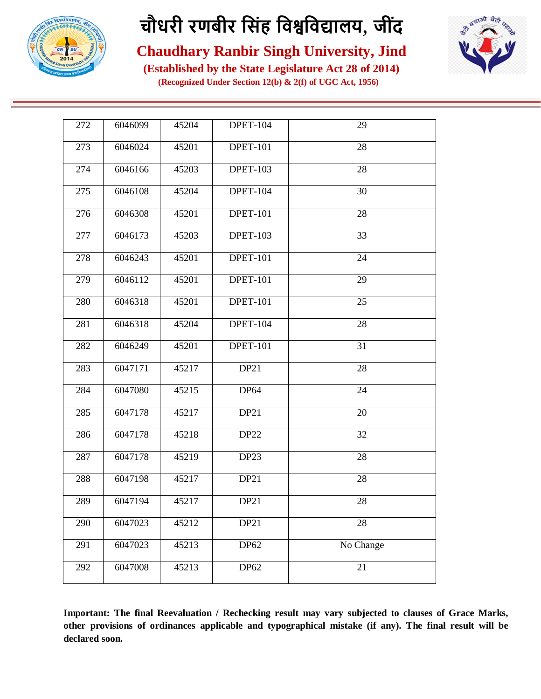



#### **Chaudhary Ranbir Singh University, Jind**

**(Established by the State Legislature Act 28 of 2014) (Recognized Under Section 12(b) & 2(f) of UGC Act, 1956)**

| 272 | 6046099 | 45204 | <b>DPET-104</b>  | 29        |
|-----|---------|-------|------------------|-----------|
| 273 | 6046024 | 45201 | <b>DPET-101</b>  | 28        |
| 274 | 6046166 | 45203 | <b>DPET-103</b>  | 28        |
| 275 | 6046108 | 45204 | <b>DPET-104</b>  | 30        |
| 276 | 6046308 | 45201 | <b>DPET-101</b>  | 28        |
| 277 | 6046173 | 45203 | <b>DPET-103</b>  | 33        |
| 278 | 6046243 | 45201 | <b>DPET-101</b>  | 24        |
| 279 | 6046112 | 45201 | <b>DPET-101</b>  | 29        |
| 280 | 6046318 | 45201 | <b>DPET-101</b>  | 25        |
| 281 | 6046318 | 45204 | <b>DPET-104</b>  | 28        |
| 282 | 6046249 | 45201 | <b>DPET-101</b>  | 31        |
| 283 | 6047171 | 45217 | DP21             | 28        |
| 284 | 6047080 | 45215 | <b>DP64</b>      | 24        |
| 285 | 6047178 | 45217 | DP <sub>21</sub> | 20        |
| 286 | 6047178 | 45218 | DP <sub>22</sub> | 32        |
| 287 | 6047178 | 45219 | DP <sub>23</sub> | 28        |
| 288 | 6047198 | 45217 | DP21             | 28        |
| 289 | 6047194 | 45217 | <b>DP21</b>      | 28        |
| 290 | 6047023 | 45212 | DP21             | 28        |
| 291 | 6047023 | 45213 | DP62             | No Change |
| 292 | 6047008 | 45213 | DP62             | 21        |
|     |         |       |                  |           |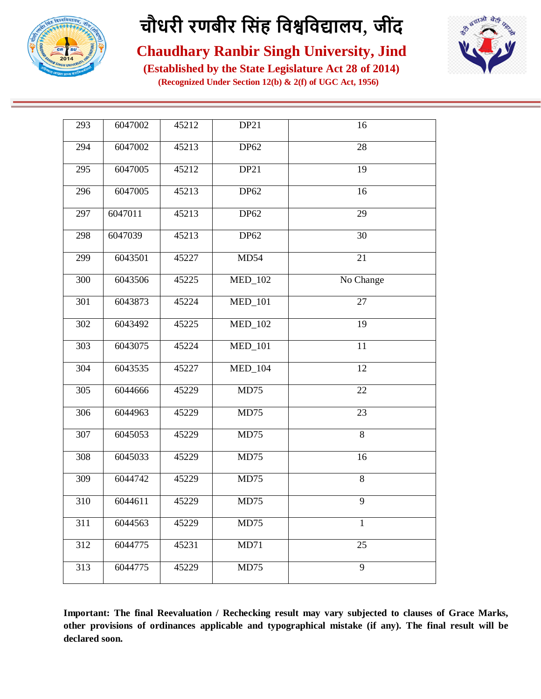



#### **Chaudhary Ranbir Singh University, Jind**

**(Established by the State Legislature Act 28 of 2014) (Recognized Under Section 12(b) & 2(f) of UGC Act, 1956)**

| 293 | 6047002 | 45212 | DP <sub>21</sub> | 16           |
|-----|---------|-------|------------------|--------------|
| 294 | 6047002 | 45213 | DP62             | 28           |
| 295 | 6047005 | 45212 | DP21             | 19           |
| 296 | 6047005 | 45213 | DP62             | 16           |
| 297 | 6047011 | 45213 | DP62             | 29           |
| 298 | 6047039 | 45213 | DP62             | 30           |
| 299 | 6043501 | 45227 | MD54             | 21           |
| 300 | 6043506 | 45225 | <b>MED_102</b>   | No Change    |
| 301 | 6043873 | 45224 | <b>MED_101</b>   | 27           |
| 302 | 6043492 | 45225 | <b>MED_102</b>   | 19           |
| 303 | 6043075 | 45224 | <b>MED_101</b>   | 11           |
| 304 | 6043535 | 45227 | $MED_104$        | 12           |
| 305 | 6044666 | 45229 | MD75             | 22           |
| 306 | 6044963 | 45229 | MD75             | 23           |
| 307 | 6045053 | 45229 | MD75             | $\,8\,$      |
| 308 | 6045033 | 45229 | MD75             | 16           |
| 309 | 6044742 | 45229 | MD75             | 8            |
| 310 | 6044611 | 45229 | MD75             | 9            |
| 311 | 6044563 | 45229 | MD75             | $\mathbf{1}$ |
| 312 | 6044775 | 45231 | MD71             | 25           |
| 313 | 6044775 | 45229 | MD75             | 9            |
|     |         |       |                  |              |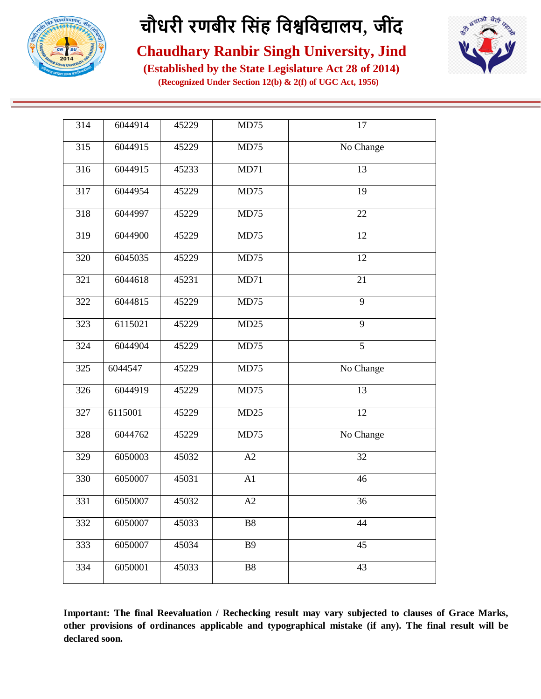



#### **Chaudhary Ranbir Singh University, Jind**

**(Established by the State Legislature Act 28 of 2014) (Recognized Under Section 12(b) & 2(f) of UGC Act, 1956)**

| 314 | 6044914 | 45229 | MD75           | 17              |
|-----|---------|-------|----------------|-----------------|
| 315 | 6044915 | 45229 | MD75           | No Change       |
| 316 | 6044915 | 45233 | MD71           | 13              |
| 317 | 6044954 | 45229 | MD75           | 19              |
| 318 | 6044997 | 45229 | MD75           | 22              |
| 319 | 6044900 | 45229 | MD75           | $\overline{12}$ |
| 320 | 6045035 | 45229 | MD75           | 12              |
| 321 | 6044618 | 45231 | MD71           | 21              |
| 322 | 6044815 | 45229 | MD75           | 9               |
| 323 | 6115021 | 45229 | MD25           | $\overline{9}$  |
| 324 | 6044904 | 45229 | MD75           | $\overline{5}$  |
| 325 | 6044547 | 45229 | MD75           | No Change       |
| 326 | 6044919 | 45229 | MD75           | 13              |
| 327 | 6115001 | 45229 | MD25           | 12              |
| 328 | 6044762 | 45229 | MD75           | No Change       |
| 329 | 6050003 | 45032 | A2             | 32              |
| 330 | 6050007 | 45031 | A1             | 46              |
| 331 | 6050007 | 45032 | A2             | 36              |
| 332 | 6050007 | 45033 | B <sub>8</sub> | 44              |
| 333 | 6050007 | 45034 | <b>B</b> 9     | 45              |
| 334 | 6050001 | 45033 | <b>B8</b>      | 43              |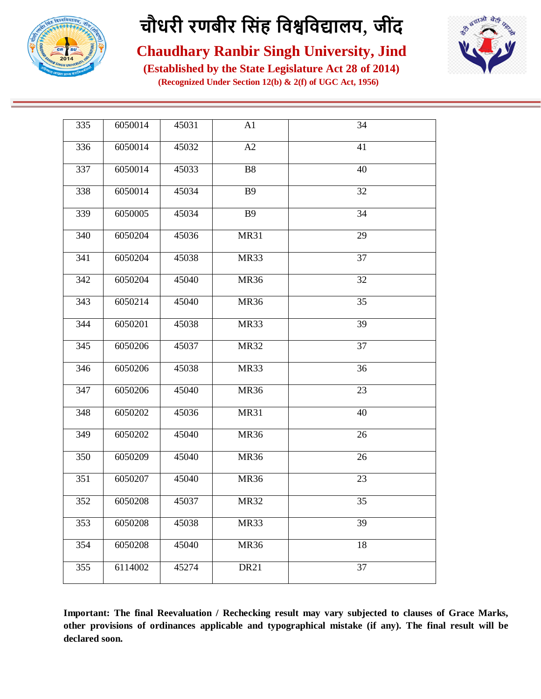



#### **Chaudhary Ranbir Singh University, Jind**

**(Established by the State Legislature Act 28 of 2014) (Recognized Under Section 12(b) & 2(f) of UGC Act, 1956)**

| 335<br>6050014<br>45031<br>A1<br>34<br>336<br>6050014<br>A2<br>41<br>45032<br>337<br>6050014<br><b>B8</b><br>40<br>45033<br>338<br>6050014<br>45034<br><b>B</b> 9<br>32<br>34<br>339<br>6050005<br><b>B</b> 9<br>45034<br>6050204<br>29<br>340<br>45036<br><b>MR31</b><br>37<br>341<br>6050204<br>45038<br>MR33<br>342<br>6050204<br><b>MR36</b><br>32<br>45040<br>343<br>6050214<br>45040<br><b>MR36</b><br>35<br>39<br>344<br>6050201<br>45038<br>MR33<br>37<br>6050206<br>45037<br><b>MR32</b><br>345<br>36<br>346<br>6050206<br>45038<br>MR33<br>23<br>347<br>6050206<br>45040<br>MR36<br>348<br>6050202<br>45036<br><b>MR31</b><br>40<br>349<br>6050202<br>45040<br><b>MR36</b><br>26<br>350<br>6050209<br>45040<br><b>MR36</b><br>26<br>351<br>6050207<br>45040<br><b>MR36</b><br>23<br>352<br>6050208<br>45037<br><b>MR32</b><br>35<br>39<br>353<br>6050208<br>45038<br>MR33<br>6050208<br>18<br>354<br>45040<br><b>MR36</b><br>355<br>6114002<br>45274<br><b>DR21</b><br>37 |  |  |  |
|-------------------------------------------------------------------------------------------------------------------------------------------------------------------------------------------------------------------------------------------------------------------------------------------------------------------------------------------------------------------------------------------------------------------------------------------------------------------------------------------------------------------------------------------------------------------------------------------------------------------------------------------------------------------------------------------------------------------------------------------------------------------------------------------------------------------------------------------------------------------------------------------------------------------------------------------------------------------------------------|--|--|--|
|                                                                                                                                                                                                                                                                                                                                                                                                                                                                                                                                                                                                                                                                                                                                                                                                                                                                                                                                                                                     |  |  |  |
|                                                                                                                                                                                                                                                                                                                                                                                                                                                                                                                                                                                                                                                                                                                                                                                                                                                                                                                                                                                     |  |  |  |
|                                                                                                                                                                                                                                                                                                                                                                                                                                                                                                                                                                                                                                                                                                                                                                                                                                                                                                                                                                                     |  |  |  |
|                                                                                                                                                                                                                                                                                                                                                                                                                                                                                                                                                                                                                                                                                                                                                                                                                                                                                                                                                                                     |  |  |  |
|                                                                                                                                                                                                                                                                                                                                                                                                                                                                                                                                                                                                                                                                                                                                                                                                                                                                                                                                                                                     |  |  |  |
|                                                                                                                                                                                                                                                                                                                                                                                                                                                                                                                                                                                                                                                                                                                                                                                                                                                                                                                                                                                     |  |  |  |
|                                                                                                                                                                                                                                                                                                                                                                                                                                                                                                                                                                                                                                                                                                                                                                                                                                                                                                                                                                                     |  |  |  |
|                                                                                                                                                                                                                                                                                                                                                                                                                                                                                                                                                                                                                                                                                                                                                                                                                                                                                                                                                                                     |  |  |  |
|                                                                                                                                                                                                                                                                                                                                                                                                                                                                                                                                                                                                                                                                                                                                                                                                                                                                                                                                                                                     |  |  |  |
|                                                                                                                                                                                                                                                                                                                                                                                                                                                                                                                                                                                                                                                                                                                                                                                                                                                                                                                                                                                     |  |  |  |
|                                                                                                                                                                                                                                                                                                                                                                                                                                                                                                                                                                                                                                                                                                                                                                                                                                                                                                                                                                                     |  |  |  |
|                                                                                                                                                                                                                                                                                                                                                                                                                                                                                                                                                                                                                                                                                                                                                                                                                                                                                                                                                                                     |  |  |  |
|                                                                                                                                                                                                                                                                                                                                                                                                                                                                                                                                                                                                                                                                                                                                                                                                                                                                                                                                                                                     |  |  |  |
|                                                                                                                                                                                                                                                                                                                                                                                                                                                                                                                                                                                                                                                                                                                                                                                                                                                                                                                                                                                     |  |  |  |
|                                                                                                                                                                                                                                                                                                                                                                                                                                                                                                                                                                                                                                                                                                                                                                                                                                                                                                                                                                                     |  |  |  |
|                                                                                                                                                                                                                                                                                                                                                                                                                                                                                                                                                                                                                                                                                                                                                                                                                                                                                                                                                                                     |  |  |  |
|                                                                                                                                                                                                                                                                                                                                                                                                                                                                                                                                                                                                                                                                                                                                                                                                                                                                                                                                                                                     |  |  |  |
|                                                                                                                                                                                                                                                                                                                                                                                                                                                                                                                                                                                                                                                                                                                                                                                                                                                                                                                                                                                     |  |  |  |
|                                                                                                                                                                                                                                                                                                                                                                                                                                                                                                                                                                                                                                                                                                                                                                                                                                                                                                                                                                                     |  |  |  |
|                                                                                                                                                                                                                                                                                                                                                                                                                                                                                                                                                                                                                                                                                                                                                                                                                                                                                                                                                                                     |  |  |  |
|                                                                                                                                                                                                                                                                                                                                                                                                                                                                                                                                                                                                                                                                                                                                                                                                                                                                                                                                                                                     |  |  |  |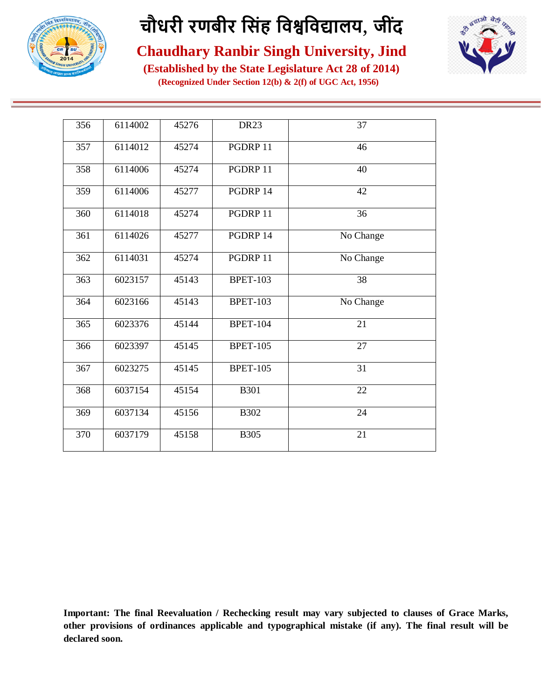



#### **Chaudhary Ranbir Singh University, Jind**

**(Established by the State Legislature Act 28 of 2014) (Recognized Under Section 12(b) & 2(f) of UGC Act, 1956)**

| 356 | 6114002 | 45276 | DR <sub>23</sub> | 37        |
|-----|---------|-------|------------------|-----------|
| 357 | 6114012 | 45274 | PGDRP 11         | 46        |
| 358 | 6114006 | 45274 | PGDRP 11         | 40        |
| 359 | 6114006 | 45277 | PGDRP 14         | 42        |
| 360 | 6114018 | 45274 | PGDRP 11         | 36        |
| 361 | 6114026 | 45277 | PGDRP 14         | No Change |
| 362 | 6114031 | 45274 | PGDRP 11         | No Change |
| 363 | 6023157 | 45143 | <b>BPET-103</b>  | 38        |
| 364 | 6023166 | 45143 | <b>BPET-103</b>  | No Change |
| 365 | 6023376 | 45144 | <b>BPET-104</b>  | 21        |
| 366 | 6023397 | 45145 | <b>BPET-105</b>  | 27        |
| 367 | 6023275 | 45145 | <b>BPET-105</b>  | 31        |
| 368 | 6037154 | 45154 | <b>B301</b>      | 22        |
| 369 | 6037134 | 45156 | <b>B302</b>      | 24        |
| 370 | 6037179 | 45158 | <b>B305</b>      | 21        |